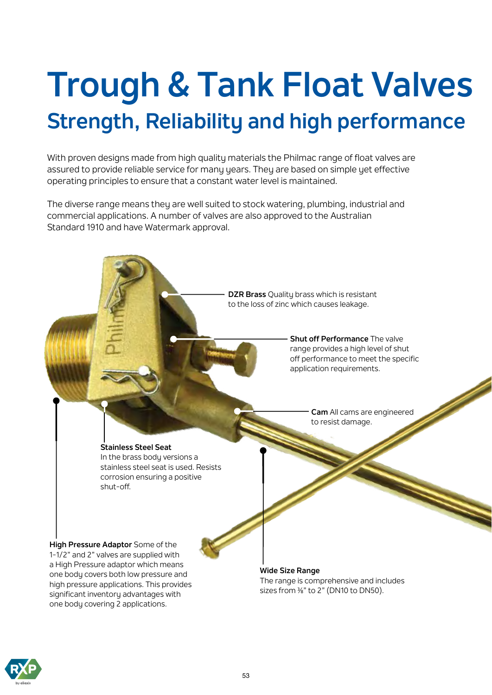# **Trough & Tank Float Valves Strength, Reliability and high performance**

With proven designs made from high quality materials the Philmac range of float valves are assured to provide reliable service for many years. They are based on simple yet effective operating principles to ensure that a constant water level is maintained.

The diverse range means they are well suited to stock watering, plumbing, industrial and commercial applications. A number of valves are also approved to the Australian Standard 1910 and have Watermark approval.



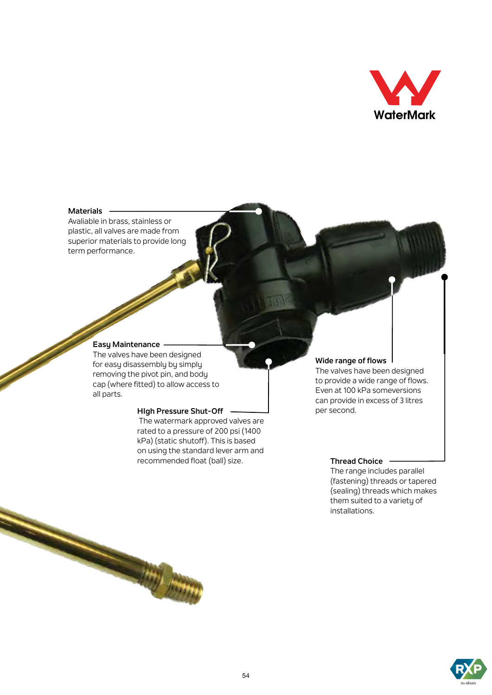

#### **Materials**

Avaliable in brass, stainless or plastic, all valves are made from superior materials to provide long term performance.

#### **Easy Maintenance**

The valves have been designed for easy disassembly by simply removing the pivot pin, and body cap (where fitted) to allow access to all parts.

**Strip From** 

#### **HIgh Pressure Shut-Off**

 The watermark approved valves are rated to a pressure of 200 psi (1400 kPa) (static shutoff). This is based on using the standard lever arm and recommended float (ball) size.

#### **Wide range of flows**

The valves have been designed to provide a wide range of flows. Even at 100 kPa someversions can provide in excess of 3 litres per second.

#### **Thread Choice**

The range includes parallel (fastening) threads or tapered (sealing) threads which makes them suited to a variety of installations.

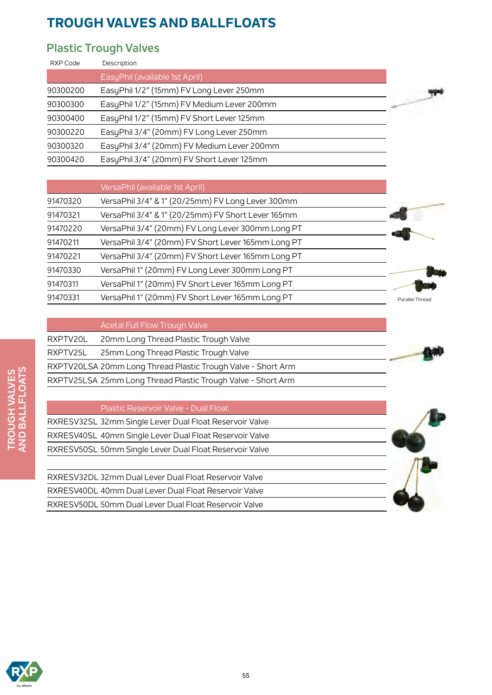### **Plastic Trough Valves**

| RXP Code | Description                                |  |
|----------|--------------------------------------------|--|
|          | EasyPhil (available 1st April)             |  |
| 90300200 | EasyPhil 1/2" (15mm) FV Long Lever 250mm   |  |
| 90300300 | EasyPhil 1/2" (15mm) FV Medium Lever 200mm |  |
| 90300400 | EasyPhil 1/2" (15mm) FV Short Lever 125mm  |  |
| 90300220 | EasyPhil 3/4" (20mm) FV Long Lever 250mm   |  |
| 90300320 | EasyPhil 3/4" (20mm) FV Medium Lever 200mm |  |
| 90300420 | EasyPhil 3/4" (20mm) FV Short Lever 125mm  |  |

|          | VersaPhil (available 1st April)                    |
|----------|----------------------------------------------------|
| 91470320 | VersaPhil 3/4" & 1" (20/25mm) FV Long Lever 300mm  |
| 91470321 | VersaPhil 3/4" & 1" (20/25mm) FV Short Lever 165mm |
| 91470220 | VersaPhil 3/4" (20mm) FV Long Lever 300mm Long PT  |
| 91470211 | VersaPhil 3/4" (20mm) FV Short Lever 165mm Long PT |
| 91470221 | VersaPhil 3/4" (20mm) FV Short Lever 165mm Long PT |
| 91470330 | VersaPhil 1" (20mm) FV Long Lever 300mm Long PT    |
| 91470311 | VersaPhil 1" (20mm) FV Short Lever 165mm Long PT   |
| 91470331 | VersaPhil 1" (20mm) FV Short Lever 165mm Long PT   |





Acetal Full Flow Trough Valve

| RXPTV20L | 20mm Long Thread Plastic Trough Valve                        |  |
|----------|--------------------------------------------------------------|--|
|          | RXPTV25L 25mm Long Thread Plastic Trough Valve               |  |
|          | RXPTV20LSA 20mm Long Thread Plastic Trough Valve - Short Arm |  |
|          | RXPTV25LSA 25mm Long Thread Plastic Trough Valve - Short Arm |  |

#### Plastic Reservoir Valve - Dual Float

| RXRESV32SL 32mm Single Lever Dual Float Reservoir Valve |  |
|---------------------------------------------------------|--|
| RXRESV40SL 40mm Single Lever Dual Float Reservoir Valve |  |
| RXRESV50SL 50mm Single Lever Dual Float Reservoir Valve |  |

RXRESV32DL 32mm Dual Lever Dual Float Reservoir Valve RXRESV40DL 40mm Dual Lever Dual Float Reservoir Valve RXRESV50DL 50mm Dual Lever Dual Float Reservoir Valve



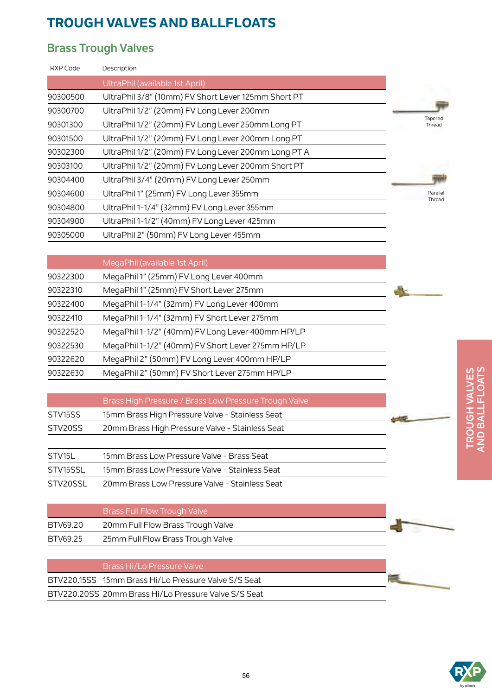### **Brass Trough Valves**

| RXP Code | Description                                         |                    |
|----------|-----------------------------------------------------|--------------------|
|          | UltraPhil (available 1st April)                     |                    |
| 90300500 | UltraPhil 3/8" (10mm) FV Short Lever 125mm Short PT |                    |
| 90300700 | UltraPhil 1/2" (20mm) FV Long Lever 200mm           |                    |
| 90301300 | UltraPhil 1/2" (20mm) FV Long Lever 250mm Long PT   | Tapered<br>Thread  |
| 90301500 | UltraPhil 1/2" (20mm) FV Long Lever 200mm Long PT   |                    |
| 90302300 | UltraPhil 1/2" (20mm) FV Long Lever 200mm Long PT A |                    |
| 90303100 | UltraPhil 1/2" (20mm) FV Long Lever 200mm Short PT  |                    |
| 90304400 | UltraPhil 3/4" (20mm) FV Long Lever 250mm           |                    |
| 90304600 | UltraPhil 1" (25mm) FV Long Lever 355mm             | Parallel<br>Thread |
| 90304800 | UltraPhil 1-1/4" (32mm) FV Long Lever 355mm         |                    |
| 90304900 | UltraPhil 1-1/2" (40mm) FV Long Lever 425mm         |                    |
| 90305000 | UltraPhil 2" (50mm) FV Long Lever 455mm             |                    |
|          |                                                     |                    |

|          | MegaPhil (available 1st April)                    |
|----------|---------------------------------------------------|
| 90322300 | MegaPhil 1" (25mm) FV Long Lever 400mm            |
| 90322310 | MegaPhil 1" (25mm) FV Short Lever 275mm           |
| 90322400 | MegaPhil 1-1/4" (32mm) FV Long Lever 400mm        |
| 90322410 | MegaPhil 1-1/4" (32mm) FV Short Lever 275mm       |
| 90322520 | MegaPhil 1-1/2" (40mm) FV Long Lever 400mm HP/LP  |
| 90322530 | MegaPhil 1-1/2" (40mm) FV Short Lever 275mm HP/LP |
| 90322620 | MegaPhil 2" (50mm) FV Long Lever 400mm HP/LP      |
| 90322630 | MegaPhil 2" (50mm) FV Short Lever 275mm HP/LP     |
|          |                                                   |

|                     | Brass High Pressure / Brass Low Pressure Trough Valve |  |
|---------------------|-------------------------------------------------------|--|
| STV <sub>15SS</sub> | 15mm Brass High Pressure Valve - Stainless Seat       |  |
| STV20SS             | 20mm Brass High Pressure Valve - Stainless Seat       |  |
|                     |                                                       |  |

| STV15L   | 15mm Brass Low Pressure Valve - Brass Seat     |
|----------|------------------------------------------------|
| STV15SSL | 15mm Brass Low Pressure Valve - Stainless Seat |
| STV20SSL | 20mm Brass Low Pressure Valve - Stainless Seat |

|          | <b>Brass Full Flow Trough Valve</b> |
|----------|-------------------------------------|
| BTV69.20 | 20mm Full Flow Brass Trough Valve   |
| BTV69.25 | 25mm Full Flow Brass Trough Valve   |

| Brass Hi/Lo Pressure Valve                           |
|------------------------------------------------------|
| BTV220.15SS 15mm Brass Hi/Lo Pressure Valve S/S Seat |
| BTV220.20SS 20mm Brass Hi/Lo Pressure Valve S/S Seat |



 $\equiv$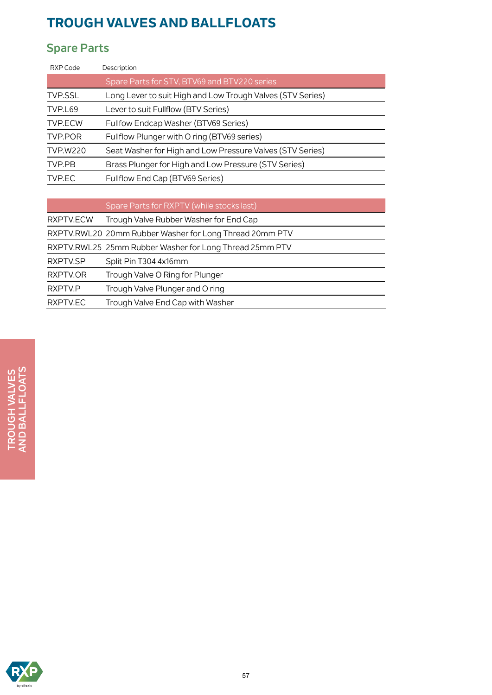# **Spare Parts**

| Description                                                |
|------------------------------------------------------------|
| Spare Parts for STV, BTV69 and BTV220 series               |
| Long Lever to suit High and Low Trough Valves (STV Series) |
| Lever to suit Fullflow (BTV Series)                        |
| Fullfow Endcap Washer (BTV69 Series)                       |
| Fullflow Plunger with O ring (BTV69 series)                |
| Seat Washer for High and Low Pressure Valves (STV Series)  |
| Brass Plunger for High and Low Pressure (STV Series)       |
| Fullflow End Cap (BTV69 Series)                            |
|                                                            |
|                                                            |

|           | Spare Parts for RXPTV (while stocks last)               |
|-----------|---------------------------------------------------------|
| RXPTV.ECW | Trough Valve Rubber Washer for End Cap                  |
|           | RXPTV.RWL20 20mm Rubber Washer for Long Thread 20mm PTV |
|           | RXPTV.RWL25 25mm Rubber Washer for Long Thread 25mm PTV |
| RXPTV.SP  | Split Pin T304 4x16mm                                   |
| RXPTV.OR  | Trough Valve O Ring for Plunger                         |
| RXPTV.P   | Trough Valve Plunger and O ring                         |
| RXPTV.EC  | Trough Valve End Cap with Washer                        |
|           |                                                         |

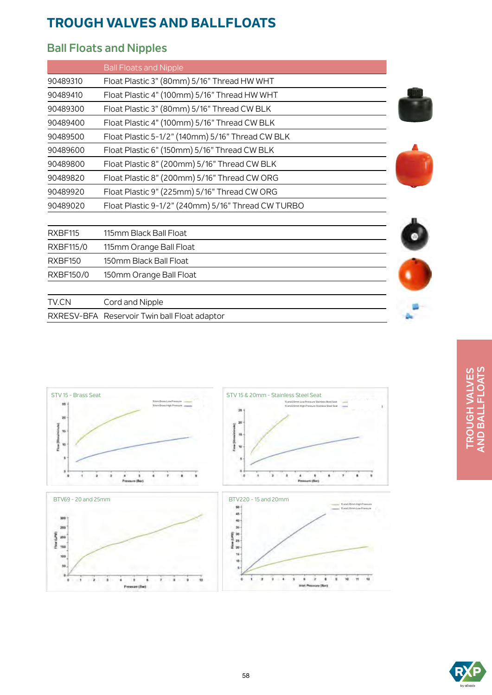### **Ball Floats and Nipples**

RXRESV-BFA Reservoir Twin ball Float adaptor

|           | <b>Ball Floats and Nipple</b>                      |  |
|-----------|----------------------------------------------------|--|
| 90489310  | Float Plastic 3" (80mm) 5/16" Thread HW WHT        |  |
| 90489410  | Float Plastic 4" (100mm) 5/16" Thread HW WHT       |  |
| 90489300  | Float Plastic 3" (80mm) 5/16" Thread CW BLK        |  |
| 90489400  | Float Plastic 4" (100mm) 5/16" Thread CW BLK       |  |
| 90489500  | Float Plastic 5-1/2" (140mm) 5/16" Thread CW BLK   |  |
| 90489600  | Float Plastic 6" (150mm) 5/16" Thread CW BLK       |  |
| 90489800  | Float Plastic 8" (200mm) 5/16" Thread CW BLK       |  |
| 90489820  | Float Plastic 8" (200mm) 5/16" Thread CW ORG       |  |
| 90489920  | Float Plastic 9" (225mm) 5/16" Thread CW ORG       |  |
| 90489020  | Float Plastic 9-1/2" (240mm) 5/16" Thread CW TURBO |  |
|           |                                                    |  |
| RXBF115   | 115mm Black Ball Float                             |  |
| RXBF115/0 | 115mm Orange Ball Float                            |  |
| RXBF150   | 150mm Black Ball Float                             |  |
| RXBF150/0 | 150mm Orange Ball Float                            |  |
| TV.CN     | Cord and Nipple                                    |  |



# TROUGH VALVES<br>AND BALLFLOATS **AND BALLFLOATS TROUGH VALVES**